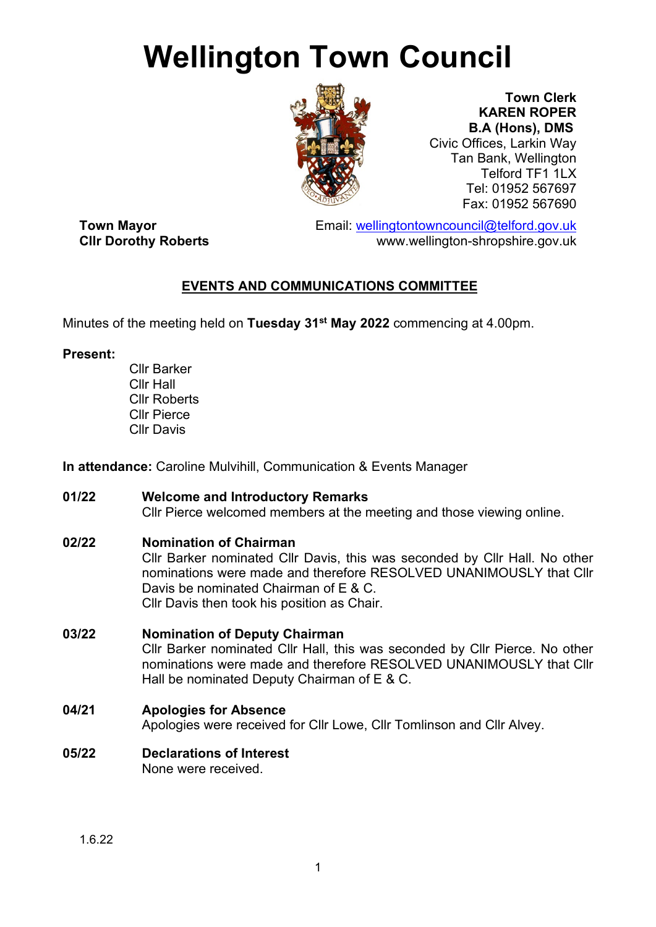# **Wellington Town Council**



**Town Clerk KAREN ROPER B.A (Hons), DMS** Civic Offices, Larkin Way Tan Bank, Wellington Telford TF1 1LX Tel: 01952 567697 Fax: 01952 567690

**Town Mayor**<br>
Email: <u>wellingtontowncouncil@telford.gov.uk</u><br>
www.wellington-shropshire.gov.uk www.wellington-shropshire.gov.uk

# **EVENTS AND COMMUNICATIONS COMMITTEE**

Minutes of the meeting held on **Tuesday 31st May 2022** commencing at 4.00pm.

#### **Present:**

Cllr Barker Cllr Hall Cllr Roberts Cllr Pierce Cllr Davis

**In attendance:** Caroline Mulvihill, Communication & Events Manager

# **01/22 Welcome and Introductory Remarks**

Cllr Pierce welcomed members at the meeting and those viewing online.

# **02/22 Nomination of Chairman**

Cllr Barker nominated Cllr Davis, this was seconded by Cllr Hall. No other nominations were made and therefore RESOLVED UNANIMOUSLY that Cllr Davis be nominated Chairman of E & C. Cllr Davis then took his position as Chair.

# **03/22 Nomination of Deputy Chairman**

Cllr Barker nominated Cllr Hall, this was seconded by Cllr Pierce. No other nominations were made and therefore RESOLVED UNANIMOUSLY that Cllr Hall be nominated Deputy Chairman of E & C.

# **04/21 Apologies for Absence**

Apologies were received for Cllr Lowe, Cllr Tomlinson and Cllr Alvey.

#### **05/22 Declarations of Interest**  None were received.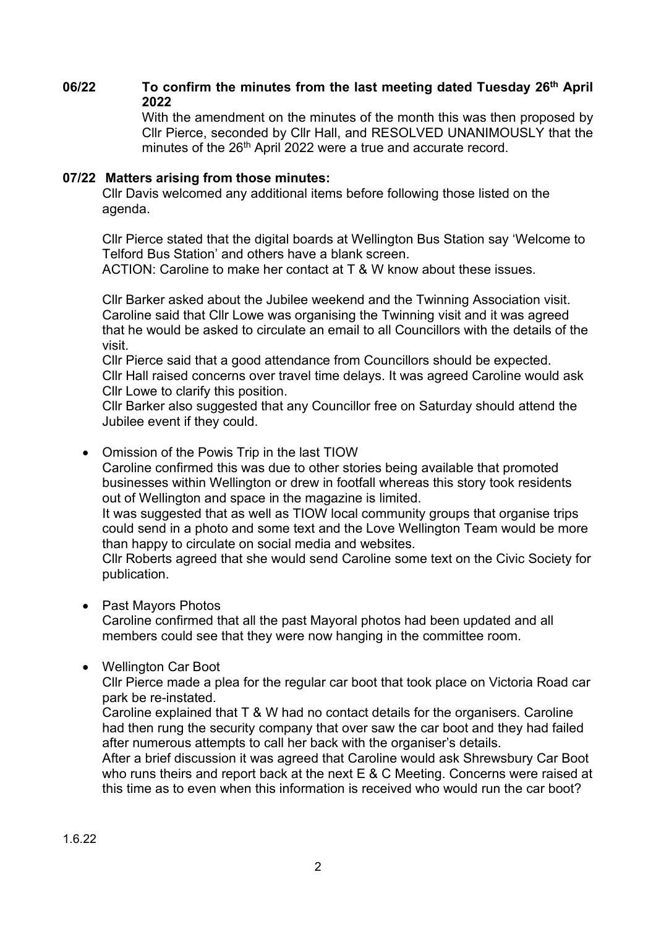#### **06/22 To confirm the minutes from the last meeting dated Tuesday 26th April 2022**

With the amendment on the minutes of the month this was then proposed by Cllr Pierce, seconded by Cllr Hall, and RESOLVED UNANIMOUSLY that the minutes of the 26<sup>th</sup> April 2022 were a true and accurate record.

#### **07/22 Matters arising from those minutes:**

Cllr Davis welcomed any additional items before following those listed on the agenda.

Cllr Pierce stated that the digital boards at Wellington Bus Station say 'Welcome to Telford Bus Station' and others have a blank screen.

ACTION: Caroline to make her contact at T & W know about these issues.

Cllr Barker asked about the Jubilee weekend and the Twinning Association visit. Caroline said that Cllr Lowe was organising the Twinning visit and it was agreed that he would be asked to circulate an email to all Councillors with the details of the visit.

Cllr Pierce said that a good attendance from Councillors should be expected. Cllr Hall raised concerns over travel time delays. It was agreed Caroline would ask Cllr Lowe to clarify this position.

Cllr Barker also suggested that any Councillor free on Saturday should attend the Jubilee event if they could.

• Omission of the Powis Trip in the last TIOW

Caroline confirmed this was due to other stories being available that promoted businesses within Wellington or drew in footfall whereas this story took residents out of Wellington and space in the magazine is limited.

It was suggested that as well as TIOW local community groups that organise trips could send in a photo and some text and the Love Wellington Team would be more than happy to circulate on social media and websites.

Cllr Roberts agreed that she would send Caroline some text on the Civic Society for publication.

• Past Mayors Photos

Caroline confirmed that all the past Mayoral photos had been updated and all members could see that they were now hanging in the committee room.

• Wellington Car Boot

Cllr Pierce made a plea for the regular car boot that took place on Victoria Road car park be re-instated.

Caroline explained that T & W had no contact details for the organisers. Caroline had then rung the security company that over saw the car boot and they had failed after numerous attempts to call her back with the organiser's details.

After a brief discussion it was agreed that Caroline would ask Shrewsbury Car Boot who runs theirs and report back at the next E & C Meeting. Concerns were raised at this time as to even when this information is received who would run the car boot?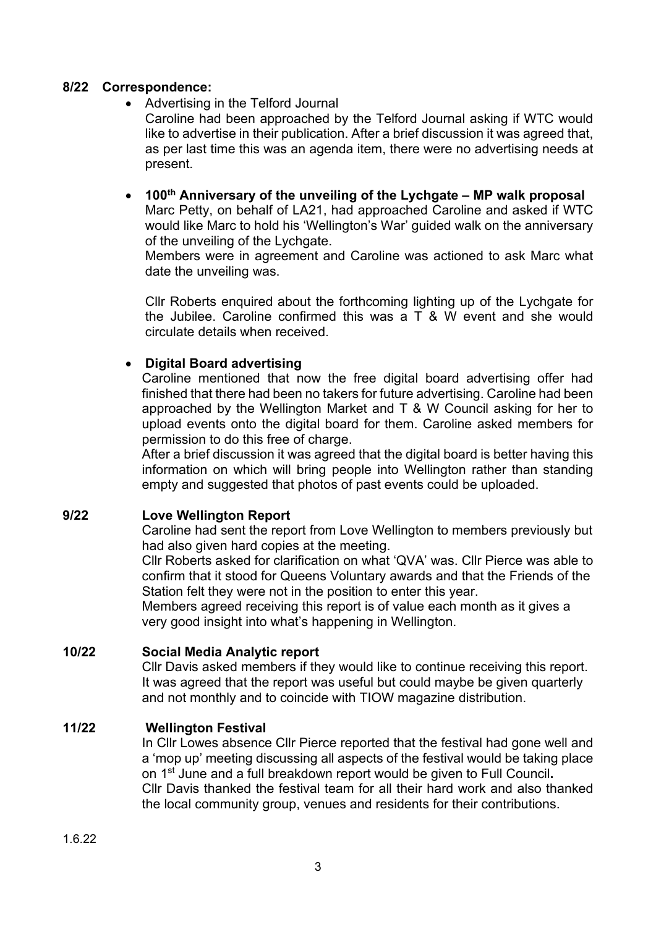#### **8/22 Correspondence:**

• Advertising in the Telford Journal

Caroline had been approached by the Telford Journal asking if WTC would like to advertise in their publication. After a brief discussion it was agreed that, as per last time this was an agenda item, there were no advertising needs at present.

• **100th Anniversary of the unveiling of the Lychgate – MP walk proposal** Marc Petty, on behalf of LA21, had approached Caroline and asked if WTC would like Marc to hold his 'Wellington's War' guided walk on the anniversary of the unveiling of the Lychgate.

Members were in agreement and Caroline was actioned to ask Marc what date the unveiling was.

Cllr Roberts enquired about the forthcoming lighting up of the Lychgate for the Jubilee. Caroline confirmed this was a T & W event and she would circulate details when received.

#### • **Digital Board advertising**

Caroline mentioned that now the free digital board advertising offer had finished that there had been no takers for future advertising. Caroline had been approached by the Wellington Market and T & W Council asking for her to upload events onto the digital board for them. Caroline asked members for permission to do this free of charge.

After a brief discussion it was agreed that the digital board is better having this information on which will bring people into Wellington rather than standing empty and suggested that photos of past events could be uploaded.

#### **9/22 Love Wellington Report**

Caroline had sent the report from Love Wellington to members previously but had also given hard copies at the meeting.

Cllr Roberts asked for clarification on what 'QVA' was. Cllr Pierce was able to confirm that it stood for Queens Voluntary awards and that the Friends of the Station felt they were not in the position to enter this year.

Members agreed receiving this report is of value each month as it gives a very good insight into what's happening in Wellington.

#### **10/22 Social Media Analytic report**

Cllr Davis asked members if they would like to continue receiving this report. It was agreed that the report was useful but could maybe be given quarterly and not monthly and to coincide with TIOW magazine distribution.

# **11/22 Wellington Festival**

In Cllr Lowes absence Cllr Pierce reported that the festival had gone well and a 'mop up' meeting discussing all aspects of the festival would be taking place on 1st June and a full breakdown report would be given to Full Council**.** Cllr Davis thanked the festival team for all their hard work and also thanked the local community group, venues and residents for their contributions.